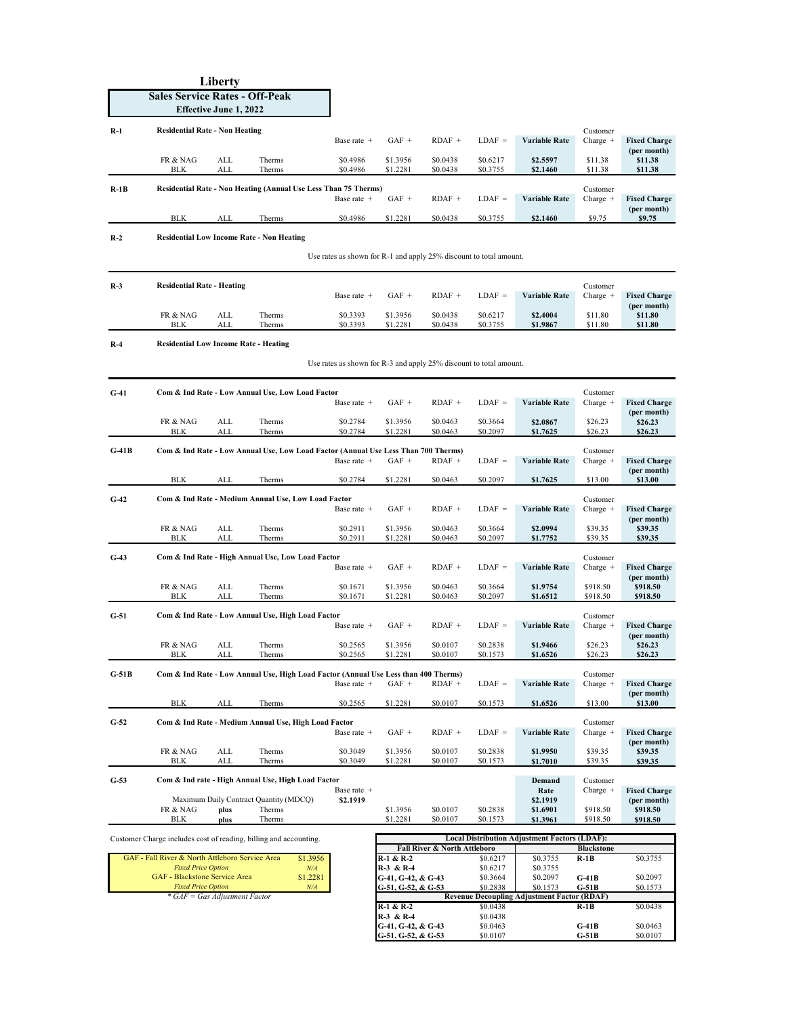| Liberty<br><b>Sales Service Rates - Off-Peak</b><br><b>Effective June 1, 2022</b> |                                                                                                                    |                                                                                                                        |                                                                                     |                      |                                                       |                              |                                  |                                                      |                             |                                     |  |  |  |
|-----------------------------------------------------------------------------------|--------------------------------------------------------------------------------------------------------------------|------------------------------------------------------------------------------------------------------------------------|-------------------------------------------------------------------------------------|----------------------|-------------------------------------------------------|------------------------------|----------------------------------|------------------------------------------------------|-----------------------------|-------------------------------------|--|--|--|
| $R-1$                                                                             | <b>Residential Rate - Non Heating</b>                                                                              |                                                                                                                        |                                                                                     | Base rate +          | $GAF +$                                               | $RDAF +$                     | $LDAF =$                         | <b>Variable Rate</b>                                 | Customer<br>Charge $+$      | <b>Fixed Charge</b><br>(per month)  |  |  |  |
|                                                                                   | FR & NAG<br><b>BLK</b>                                                                                             | ALL<br>ALL                                                                                                             | Therms<br>Therms                                                                    | \$0.4986<br>\$0.4986 | \$1.3956<br>\$1.2281                                  | \$0.0438<br>\$0.0438         | \$0.6217<br>\$0.3755             | \$2.5597<br>\$2.1460                                 | \$11.38<br>\$11.38          | \$11.38<br>\$11.38                  |  |  |  |
| $R-1B$                                                                            |                                                                                                                    |                                                                                                                        | Residential Rate - Non Heating (Annual Use Less Than 75 Therms)                     | Base rate +          | $GAF +$                                               | $RDAF +$                     | $LDAF =$                         | Variable Rate                                        | Customer<br>Charge $+$      | <b>Fixed Charge</b><br>(per month)  |  |  |  |
|                                                                                   | BLK                                                                                                                | ALL                                                                                                                    | Therms                                                                              | \$0.4986             | \$1.2281                                              | \$0.0438                     | \$0.3755                         | \$2.1460                                             | \$9.75                      | \$9.75                              |  |  |  |
| $R-2$                                                                             |                                                                                                                    | <b>Residential Low Income Rate - Non Heating</b><br>Use rates as shown for R-1 and apply 25% discount to total amount. |                                                                                     |                      |                                                       |                              |                                  |                                                      |                             |                                     |  |  |  |
| $R-3$                                                                             | <b>Residential Rate - Heating</b>                                                                                  |                                                                                                                        |                                                                                     | Base rate +          | $GAF +$                                               | $RDAF +$                     | $LDAF =$                         | <b>Variable Rate</b>                                 | Customer<br>Charge $+$      | <b>Fixed Charge</b>                 |  |  |  |
|                                                                                   | FR & NAG<br><b>BLK</b>                                                                                             | ALL<br>ALL                                                                                                             | Therms<br>Therms                                                                    | \$0.3393<br>\$0.3393 | \$1.3956<br>\$1.2281                                  | \$0.0438<br>\$0.0438         | \$0.6217<br>\$0.3755             | \$2.4004<br>\$1.9867                                 | \$11.80<br>\$11.80          | (per month)<br>\$11.80<br>\$11.80   |  |  |  |
| $R-4$                                                                             | <b>Residential Low Income Rate - Heating</b><br>Use rates as shown for R-3 and apply 25% discount to total amount. |                                                                                                                        |                                                                                     |                      |                                                       |                              |                                  |                                                      |                             |                                     |  |  |  |
| $G-41$                                                                            |                                                                                                                    |                                                                                                                        | Com & Ind Rate - Low Annual Use, Low Load Factor                                    |                      |                                                       |                              |                                  |                                                      | Customer                    |                                     |  |  |  |
|                                                                                   |                                                                                                                    |                                                                                                                        |                                                                                     | Base rate +          | $GAF +$                                               | $RDAF +$                     | $LDAF =$                         | Variable Rate                                        | Charge $+$                  | <b>Fixed Charge</b><br>(per month)  |  |  |  |
|                                                                                   | FR & NAG<br><b>BLK</b>                                                                                             | ALL<br>ALL                                                                                                             | Therms<br>Therms                                                                    | \$0.2784<br>\$0.2784 | \$1.3956<br>\$1.2281                                  | \$0.0463<br>\$0.0463         | \$0.3664<br>\$0.2097             | \$2.0867<br>\$1.7625                                 | \$26.23<br>\$26.23          | \$26.23<br>\$26.23                  |  |  |  |
| $G-41B$                                                                           |                                                                                                                    |                                                                                                                        | Com & Ind Rate - Low Annual Use, Low Load Factor (Annual Use Less Than 700 Therms)  | Base rate +          | $GAF +$                                               | $RDAF +$                     | $LDAF =$                         | Variable Rate                                        | Customer<br>Charge $+$      | <b>Fixed Charge</b><br>(per month)  |  |  |  |
|                                                                                   | BLK                                                                                                                | ALL                                                                                                                    | Therms                                                                              | \$0.2784             | \$1.2281                                              | \$0.0463                     | \$0.2097                         | \$1.7625                                             | \$13.00                     | \$13.00                             |  |  |  |
| $G-42$                                                                            |                                                                                                                    |                                                                                                                        | Com & Ind Rate - Medium Annual Use, Low Load Factor                                 | Base rate +          | $GAF +$                                               | $RDAF +$                     | $LDAF =$                         | Variable Rate                                        | Customer<br>Charge $+$      | <b>Fixed Charge</b><br>(per month)  |  |  |  |
|                                                                                   | FR & NAG<br>BLK                                                                                                    | ALL<br>ALL                                                                                                             | Therms<br>Therms                                                                    | \$0.2911<br>\$0.2911 | \$1.3956<br>\$1.2281                                  | \$0.0463<br>\$0.0463         | \$0.3664<br>\$0.2097             | \$2.0994<br>\$1.7752                                 | \$39.35<br>\$39.35          | \$39.35<br>\$39.35                  |  |  |  |
| $G-43$                                                                            |                                                                                                                    |                                                                                                                        | Com & Ind Rate - High Annual Use, Low Load Factor                                   | Base rate +          | $GAF +$                                               | $RDAF +$                     | $LDAF =$                         | Variable Rate                                        | Customer<br>Charge $+$      | <b>Fixed Charge</b><br>(per month)  |  |  |  |
|                                                                                   | FR & NAG<br>BLK                                                                                                    | ALL<br>ALL                                                                                                             | Therms<br>Therms                                                                    | \$0.1671<br>\$0.1671 | \$1.3956<br>\$1.2281                                  | \$0.0463<br>\$0.0463         | \$0.3664<br>\$0.2097             | \$1.9754<br>\$1.6512                                 | \$918.50<br>\$918.50        | \$918.50<br>\$918.50                |  |  |  |
| $G-51$                                                                            |                                                                                                                    |                                                                                                                        | Com & Ind Rate - Low Annual Use, High Load Factor                                   | Base rate +          | $GAF +$                                               | $RDAF +$                     | $LDAF =$                         | Variable Rate                                        | Customer<br>Charge $+$      | <b>Fixed Charge</b>                 |  |  |  |
|                                                                                   | FR & NAG<br><b>BLK</b>                                                                                             | ALL<br>ALL                                                                                                             | Therms<br>Therms                                                                    | \$0.2565<br>\$0.2565 | \$1.3956<br>\$1.2281                                  | \$0.0107<br>\$0.0107         | \$0.2838<br>\$0.1573             | \$1.9466<br>\$1.6526                                 | \$26.23<br>\$26.23          | (per month)<br>\$26.23<br>\$26.23   |  |  |  |
| $G-51B$                                                                           |                                                                                                                    |                                                                                                                        | Com & Ind Rate - Low Annual Use, High Load Factor (Annual Use Less than 400 Therms) | Base rate +          | $GAF +$                                               | $RDAF +$                     | $LDAF =$                         | <b>Variable Rate</b>                                 | Customer<br>Charge $+$      | <b>Fixed Charge</b><br>(per month)  |  |  |  |
|                                                                                   | <b>BLK</b>                                                                                                         | ALL                                                                                                                    | Therms                                                                              | \$0.2565             | \$1.2281                                              | \$0.0107                     | \$0.1573                         | \$1.6526                                             | \$13.00                     | \$13.00                             |  |  |  |
| $G-52$                                                                            |                                                                                                                    |                                                                                                                        | Com & Ind Rate - Medium Annual Use, High Load Factor                                | Base rate +          | $GAF +$                                               | $RDAF +$                     | $LDAF =$                         | Variable Rate                                        | Customer<br>$Change +$      | <b>Fixed Charge</b><br>(per month)  |  |  |  |
|                                                                                   | FR & NAG<br>BLK                                                                                                    | ALL<br>ALL                                                                                                             | Therms<br>Therms                                                                    | \$0.3049<br>\$0.3049 | \$1.3956<br>\$1.2281                                  | \$0.0107<br>\$0.0107         | \$0.2838<br>\$0.1573             | \$1.9950<br>\$1.7010                                 | \$39.35<br>\$39.35          | \$39.35<br>\$39.35                  |  |  |  |
| $G-53$                                                                            |                                                                                                                    |                                                                                                                        | Com & Ind rate - High Annual Use, High Load Factor                                  | Base rate +          |                                                       |                              |                                  | Demand<br>Rate                                       | Customer<br>Charge $+$      | <b>Fixed Charge</b>                 |  |  |  |
|                                                                                   | FR & NAG<br>BLK                                                                                                    | plus<br>plus                                                                                                           | Maximum Daily Contract Quantity (MDCQ)<br>Therms<br>Therms                          | \$2.1919             | \$1.3956<br>\$1.2281                                  | \$0.0107<br>\$0.0107         | \$0.2838<br>\$0.1573             | \$2.1919<br>\$1.6901<br>\$1.3961                     | \$918.50<br>\$918.50        | (per month)<br>\$918.50<br>\$918.50 |  |  |  |
|                                                                                   |                                                                                                                    |                                                                                                                        | Customer Charge includes cost of reading, billing and accounting.                   |                      |                                                       |                              |                                  | <b>Local Distribution Adjustment Factors (LDAF):</b> |                             |                                     |  |  |  |
|                                                                                   | GAF - Fall River & North Attleboro Service Area                                                                    |                                                                                                                        | \$1.3956                                                                            |                      | R-1 & R-2                                             | Fall River & North Attleboro | \$0.6217                         | \$0.3755                                             | <b>Blackstone</b><br>$R-1B$ | \$0.3755                            |  |  |  |
|                                                                                   | <b>Fixed Price Option</b><br>GAF - Blackstone Service Area<br><b>Fixed Price Option</b>                            |                                                                                                                        | N/A<br>\$1.2281<br>N/A                                                              |                      | R-3 & R-4<br>G-41, G-42, & G-43<br>G-51, G-52, & G-53 |                              | \$0.6217<br>\$0.3664<br>\$0.2838 | \$0.3755<br>\$0.2097<br>\$0.1573                     | G-41B<br>$G-51B$            | \$0.2097<br>\$0.1573                |  |  |  |
|                                                                                   |                                                                                                                    | * GAF = Gas Adjustment Factor                                                                                          |                                                                                     |                      | R-1 & R-2                                             |                              | \$0.0438                         | <b>Revenue Decoupling Adjustment Factor (RDAF)</b>   | R-1B                        | \$0.0438                            |  |  |  |
|                                                                                   |                                                                                                                    |                                                                                                                        |                                                                                     |                      | R-3 & R-4<br>G-41, G-42, & G-43                       |                              | \$0.0438<br>\$0.0463             |                                                      | $G-41B$                     | \$0.0463                            |  |  |  |

**R-3 & R-4** \$0.0438<br> **G-41, G-42, & G-43** \$0.0463 **G-41B** \$0.0463<br> **G-51, G-52, & G-53** \$0.0107 **G-51B** \$0.0107